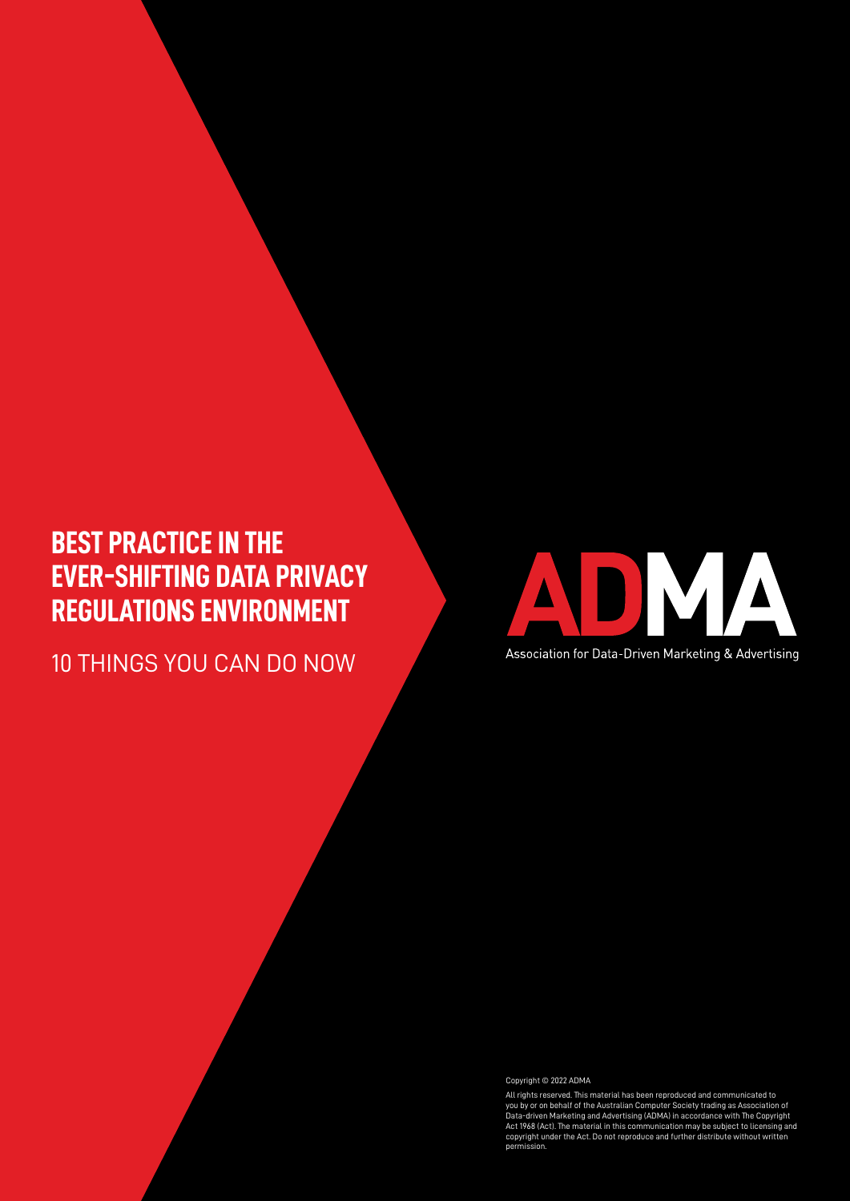# **BEST PRACTICE IN THE EVER-SHIFTING DATA PRIVACY REGULATIONS ENVIRONMENT**

10 THINGS YOU CAN DO NOW



Copyright © 2022 ADMA

All rights reserved. This material has been reproduced and communicated to<br>you by or on behalf of the Australian Computer Society trading as Association of<br>Data-driven Marketing and Advertising (ADMA) in accordance with Th permission.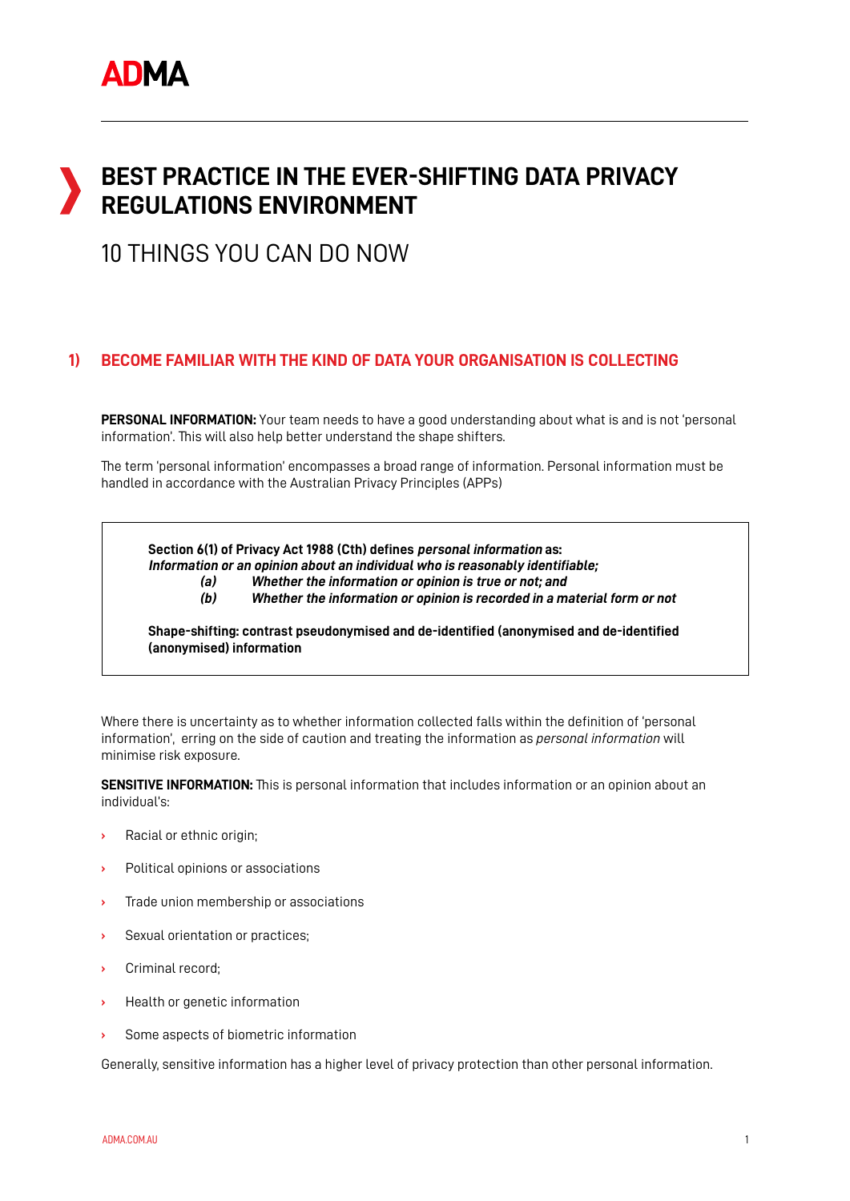# **BEST PRACTICE IN THE EVER-SHIFTING DATA PRIVACY REGULATIONS ENVIRONMENT**

## 10 THINGS YOU CAN DO NOW

## **BECOME FAMILIAR WITH THE KIND OF DATA YOUR ORGANISATION IS COLLECTING 1)**

**PERSONAL INFORMATION:** Your team needs to have a good understanding about what is and is not 'personal information'. This will also help better understand the shape shifters.

The term 'personal information' encompasses a broad range of information. Personal information must be handled in accordance with the Australian Privacy Principles (APPs)

**Section 6(1) of Privacy Act 1988 (Cth) defines personal information as:**

**Information or an opinion about an individual who is reasonably identifiable;**

**(a) Whether the information or opinion is true or not; and**

**(b) Whether the information or opinion is recorded in a material form or not**

**Shape-shifting: contrast pseudonymised and de-identified (anonymised and de-identified (anonymised) information**

Where there is uncertainty as to whether information collected falls within the definition of 'personal information', erring on the side of caution and treating the information as *personal information* will minimise risk exposure.

**SENSITIVE INFORMATION:** This is personal information that includes information or an opinion about an individual's:

- **›** Racial or ethnic origin;
- **›** Political opinions or associations
- **›** Trade union membership or associations
- **›** Sexual orientation or practices;
- **›** Criminal record;
- **›** Health or genetic information
- **›** Some aspects of biometric information

Generally, sensitive information has a higher level of privacy protection than other personal information.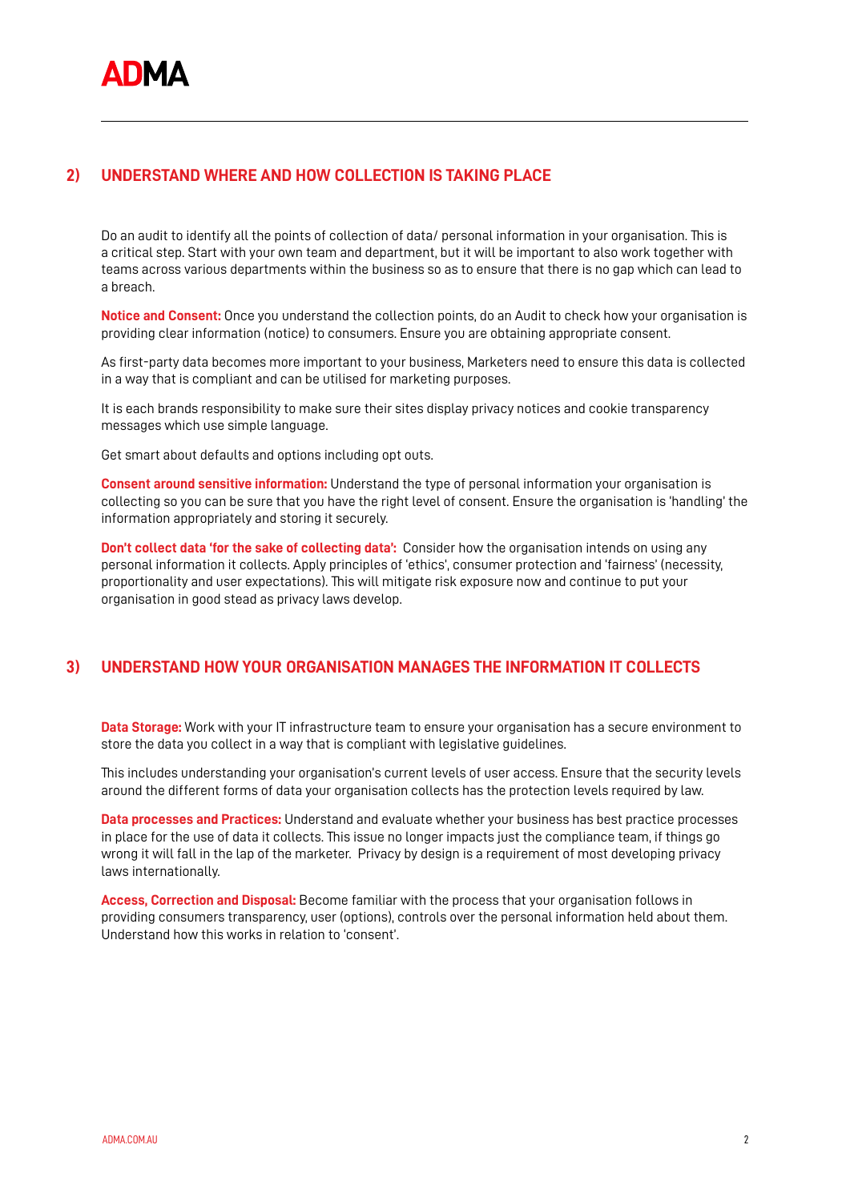## **UNDERSTAND WHERE AND HOW COLLECTION IS TAKING PLACE 2)**

Do an audit to identify all the points of collection of data/ personal information in your organisation. This is a critical step. Start with your own team and department, but it will be important to also work together with teams across various departments within the business so as to ensure that there is no gap which can lead to a breach.

**Notice and Consent:** Once you understand the collection points, do an Audit to check how your organisation is providing clear information (notice) to consumers. Ensure you are obtaining appropriate consent.

As first-party data becomes more important to your business, Marketers need to ensure this data is collected in a way that is compliant and can be utilised for marketing purposes.

It is each brands responsibility to make sure their sites display privacy notices and cookie transparency messages which use simple language.

Get smart about defaults and options including opt outs.

**Consent around sensitive information:** Understand the type of personal information your organisation is collecting so you can be sure that you have the right level of consent. Ensure the organisation is 'handling' the information appropriately and storing it securely.

**Don't collect data 'for the sake of collecting data':** Consider how the organisation intends on using any personal information it collects. Apply principles of 'ethics', consumer protection and 'fairness' (necessity, proportionality and user expectations). This will mitigate risk exposure now and continue to put your organisation in good stead as privacy laws develop.

## **UNDERSTAND HOW YOUR ORGANISATION MANAGES THE INFORMATION IT COLLECTS 3)**

**Data Storage:** Work with your IT infrastructure team to ensure your organisation has a secure environment to store the data you collect in a way that is compliant with legislative guidelines.

This includes understanding your organisation's current levels of user access. Ensure that the security levels around the different forms of data your organisation collects has the protection levels required by law.

**Data processes and Practices:** Understand and evaluate whether your business has best practice processes in place for the use of data it collects. This issue no longer impacts just the compliance team, if things go wrong it will fall in the lap of the marketer. Privacy by design is a requirement of most developing privacy laws internationally.

**Access, Correction and Disposal:** Become familiar with the process that your organisation follows in providing consumers transparency, user (options), controls over the personal information held about them. Understand how this works in relation to 'consent'.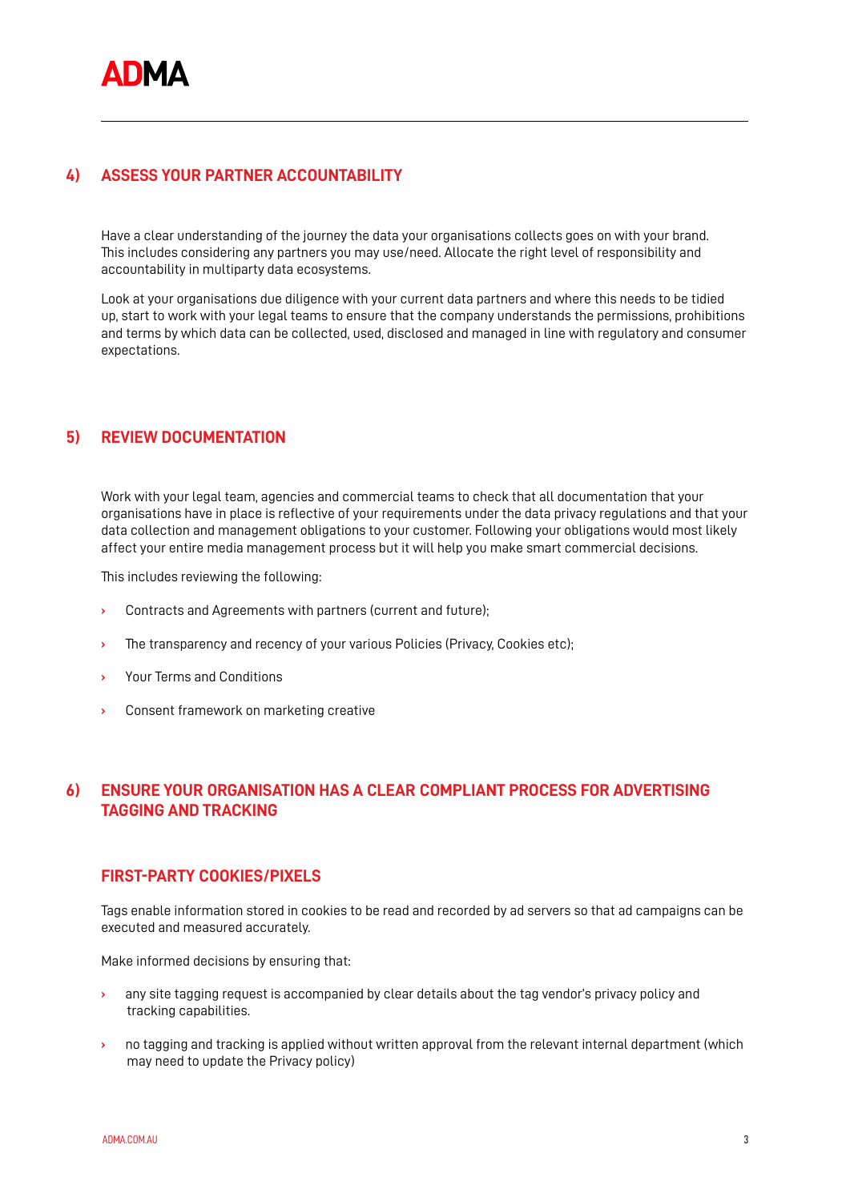## **ASSESS YOUR PARTNER ACCOUNTABILITY 4)**

Have a clear understanding of the journey the data your organisations collects goes on with your brand. This includes considering any partners you may use/need. Allocate the right level of responsibility and accountability in multiparty data ecosystems.

Look at your organisations due diligence with your current data partners and where this needs to be tidied up, start to work with your legal teams to ensure that the company understands the permissions, prohibitions and terms by which data can be collected, used, disclosed and managed in line with regulatory and consumer expectations.

## **REVIEW DOCUMENTATION 5)**

Work with your legal team, agencies and commercial teams to check that all documentation that your organisations have in place is reflective of your requirements under the data privacy regulations and that your data collection and management obligations to your customer. Following your obligations would most likely affect your entire media management process but it will help you make smart commercial decisions.

This includes reviewing the following:

- **›** Contracts and Agreements with partners (current and future);
- **›** The transparency and recency of your various Policies (Privacy, Cookies etc);
- **›** Your Terms and Conditions
- **›** Consent framework on marketing creative

## **ENSURE YOUR ORGANISATION HAS A CLEAR COMPLIANT PROCESS FOR ADVERTISING TAGGING AND TRACKING 6)**

## **FIRST-PARTY COOKIES/PIXELS**

Tags enable information stored in cookies to be read and recorded by ad servers so that ad campaigns can be executed and measured accurately.

Make informed decisions by ensuring that:

- **›** any site tagging request is accompanied by clear details about the tag vendor's privacy policy and tracking capabilities.
- **›** no tagging and tracking is applied without written approval from the relevant internal department (which may need to update the Privacy policy)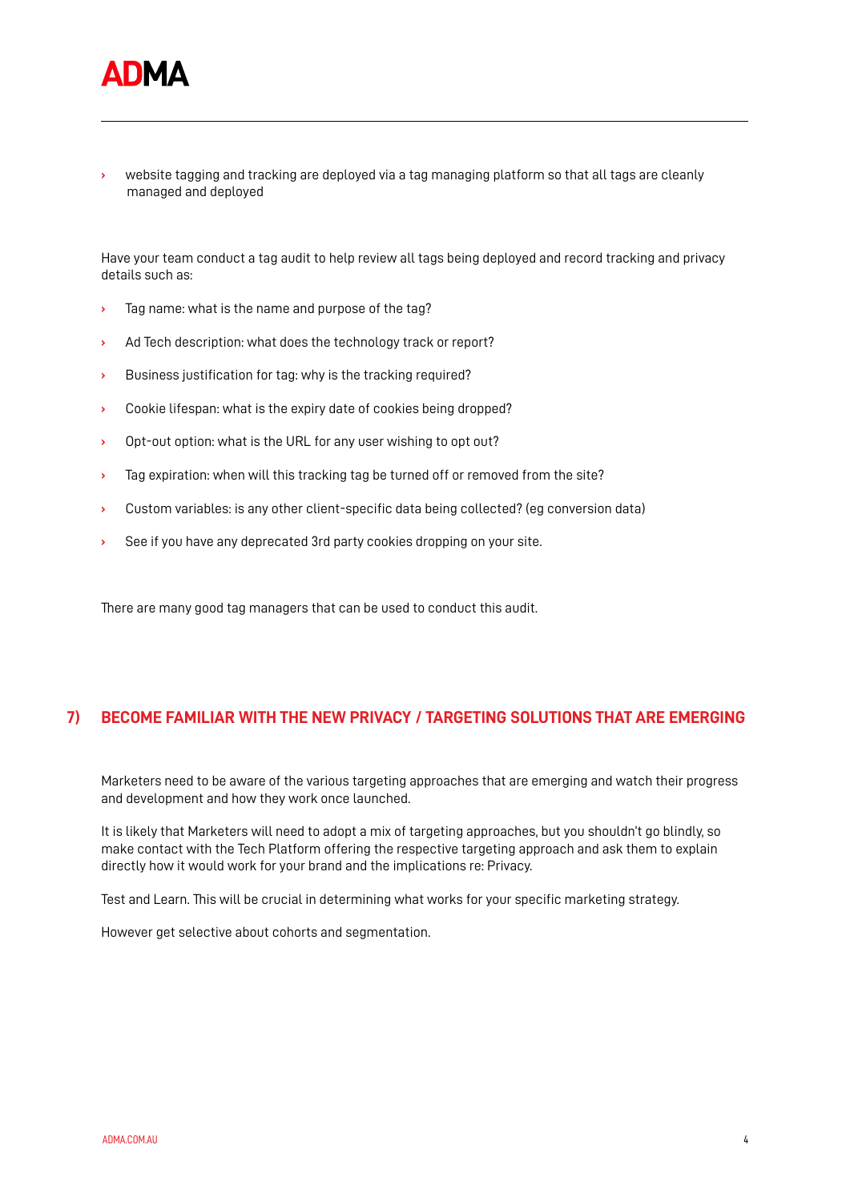

**›** website tagging and tracking are deployed via a tag managing platform so that all tags are cleanly managed and deployed

Have your team conduct a tag audit to help review all tags being deployed and record tracking and privacy details such as:

- **›** Tag name: what is the name and purpose of the tag?
- **›** Ad Tech description: what does the technology track or report?
- **›** Business justification for tag: why is the tracking required?
- **›** Cookie lifespan: what is the expiry date of cookies being dropped?
- **›** Opt-out option: what is the URL for any user wishing to opt out?
- **›** Tag expiration: when will this tracking tag be turned off or removed from the site?
- **›** Custom variables: is any other client-specific data being collected? (eg conversion data)
- **›** See if you have any deprecated 3rd party cookies dropping on your site.

There are many good tag managers that can be used to conduct this audit.

### **BECOME FAMILIAR WITH THE NEW PRIVACY / TARGETING SOLUTIONS THAT ARE EMERGING 7)**

Marketers need to be aware of the various targeting approaches that are emerging and watch their progress and development and how they work once launched.

It is likely that Marketers will need to adopt a mix of targeting approaches, but you shouldn't go blindly, so make contact with the Tech Platform offering the respective targeting approach and ask them to explain directly how it would work for your brand and the implications re: Privacy.

Test and Learn. This will be crucial in determining what works for your specific marketing strategy.

However get selective about cohorts and segmentation.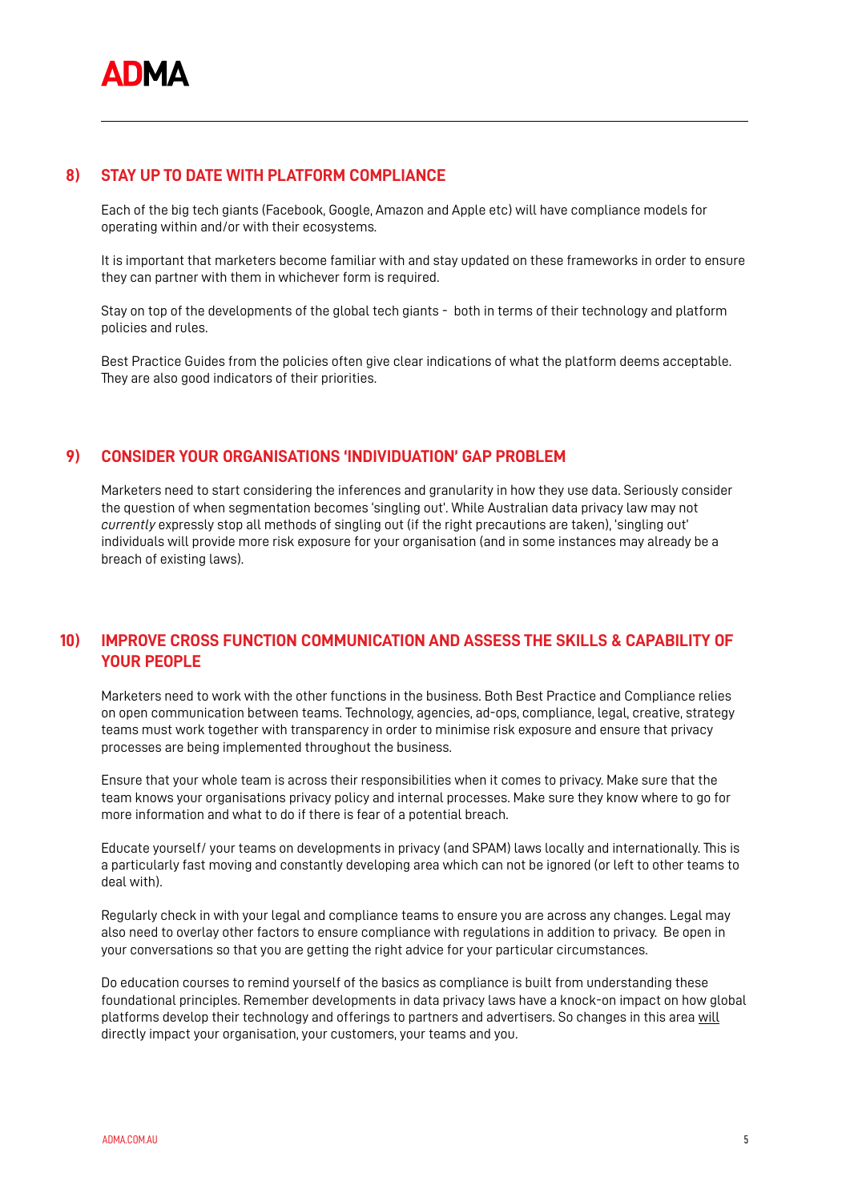#### **STAY UP TO DATE WITH PLATFORM COMPLIANCE 8)**

Each of the big tech giants (Facebook, Google, Amazon and Apple etc) will have compliance models for operating within and/or with their ecosystems.

It is important that marketers become familiar with and stay updated on these frameworks in order to ensure they can partner with them in whichever form is required.

Stay on top of the developments of the global tech giants - both in terms of their technology and platform policies and rules.

Best Practice Guides from the policies often give clear indications of what the platform deems acceptable. They are also good indicators of their priorities.

#### **CONSIDER YOUR ORGANISATIONS 'INDIVIDUATION' GAP PROBLEM 9)**

Marketers need to start considering the inferences and granularity in how they use data. Seriously consider the question of when segmentation becomes 'singling out'. While Australian data privacy law may not *currently* expressly stop all methods of singling out (if the right precautions are taken), 'singling out' individuals will provide more risk exposure for your organisation (and in some instances may already be a breach of existing laws).

## **IMPROVE CROSS FUNCTION COMMUNICATION AND ASSESS THE SKILLS & CAPABILITY OF YOUR PEOPLE 10)**

Marketers need to work with the other functions in the business. Both Best Practice and Compliance relies on open communication between teams. Technology, agencies, ad-ops, compliance, legal, creative, strategy teams must work together with transparency in order to minimise risk exposure and ensure that privacy processes are being implemented throughout the business.

Ensure that your whole team is across their responsibilities when it comes to privacy. Make sure that the team knows your organisations privacy policy and internal processes. Make sure they know where to go for more information and what to do if there is fear of a potential breach.

Educate yourself/ your teams on developments in privacy (and SPAM) laws locally and internationally. This is a particularly fast moving and constantly developing area which can not be ignored (or left to other teams to deal with).

Regularly check in with your legal and compliance teams to ensure you are across any changes. Legal may also need to overlay other factors to ensure compliance with regulations in addition to privacy. Be open in your conversations so that you are getting the right advice for your particular circumstances.

Do education courses to remind yourself of the basics as compliance is built from understanding these foundational principles. Remember developments in data privacy laws have a knock-on impact on how global platforms develop their technology and offerings to partners and advertisers. So changes in this area will directly impact your organisation, your customers, your teams and you.